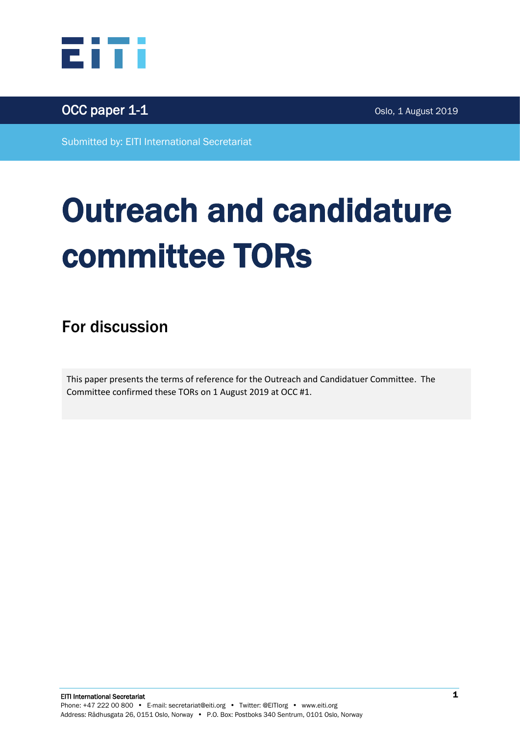



Submitted by: EITI International Secretariat

# Outreach and candidature committee TORs

For discussion

This paper presents the terms of reference for the Outreach and Candidatuer Committee. The Committee confirmed these TORs on 1 August 2019 at OCC #1.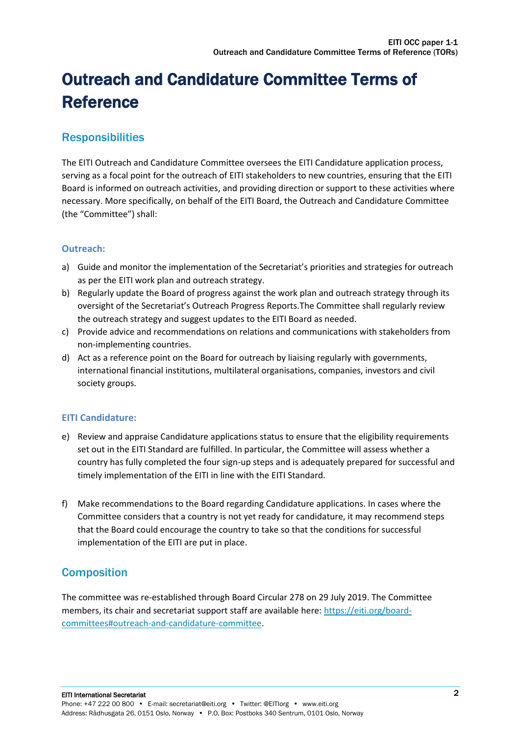# Outreach and Candidature Committee Terms of Reference

### **Responsibilities**

The EITI Outreach and Candidature Committee oversees the EITI Candidature application process, serving as a focal point for the outreach of EITI stakeholders to new countries, ensuring that the EITI Board is informed on outreach activities, and providing direction or support to these activities where necessary. More specifically, on behalf of the EITI Board, the Outreach and Candidature Committee (the "Committee") shall:

#### **Outreach:**

- a) Guide and monitor the implementation of the Secretariat's priorities and strategies for outreach as per the EITI work plan and outreach strategy.
- b) Regularly update the Board of progress against the work plan and outreach strategy through its oversight of the Secretariat's Outreach Progress Reports.The Committee shall regularly review the outreach strategy and suggest updates to the EITI Board as needed.
- c) Provide advice and recommendations on relations and communications with stakeholders from non-implementing countries.
- d) Act as a reference point on the Board for outreach by liaising regularly with governments, international financial institutions, multilateral organisations, companies, investors and civil society groups.

#### **EITI Candidature:**

- e) Review and appraise Candidature applications status to ensure that the eligibility requirements set out in the EITI Standard are fulfilled. In particular, the Committee will assess whether a country has fully completed the four sign-up steps and is adequately prepared for successful and timely implementation of the EITI in line with the EITI Standard.
- f) Make recommendations to the Board regarding Candidature applications. In cases where the Committee considers that a country is not yet ready for candidature, it may recommend steps that the Board could encourage the country to take so that the conditions for successful implementation of the EITI are put in place.

#### **Composition**

The committee was re-established through Board Circular 278 on 29 July 2019. The Committee members, its chair and secretariat support staff are available here: [https://eiti.org/board](https://eiti.org/board-committees#outreach-and-candidature-committee)[committees#outreach-and-candidature-committee.](https://eiti.org/board-committees#outreach-and-candidature-committee)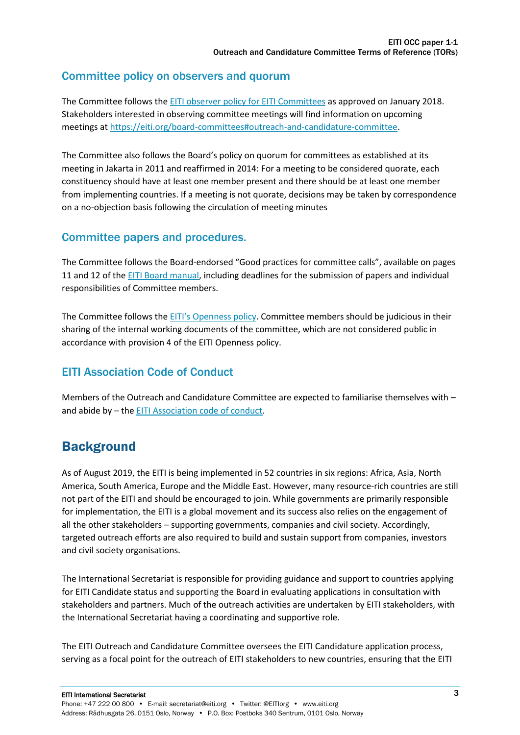#### Committee policy on observers and quorum

The Committee follows the EITI observer [policy for EITI Committees](https://eiti.org/document/eiti-observer-policy-for-eiti-committees) as approved on January 2018. Stakeholders interested in observing committee meetings will find information on upcoming meetings at [https://eiti.org/board-committees#outreach-and-candidature-committee.](https://eiti.org/board-committees#outreach-and-candidature-committee)

The Committee also follows the Board's policy on quorum for committees as established at its meeting in Jakarta in 2011 and reaffirmed in 2014: For a meeting to be considered quorate, each constituency should have at least one member present and there should be at least one member from implementing countries. If a meeting is not quorate, decisions may be taken by correspondence on a no-objection basis following the circulation of meeting minutes

#### Committee papers and procedures.

The Committee follows the Board-endorsed "Good practices for committee calls", available on pages 11 and 12 of th[e EITI Board manual,](https://eiti.org/document/eiti-board-manual) including deadlines for the submission of papers and individual responsibilities of Committee members.

The Committee follows the [EITI's Openness policy](https://eiti.org/document/eiti-openness-policy). Committee members should be judicious in their sharing of the internal working documents of the committee, which are not considered public in accordance with provision 4 of the EITI Openness policy.

#### EITI Association Code of Conduct

Members of the Outreach and Candidature Committee are expected to familiarise themselves with – and abide by – the [EITI Association code of conduct.](https://eiti.org/document/eiti-association-code-of-conduct)

## **Background**

As of August 2019, the EITI is being implemented in 52 countries in six regions: Africa, Asia, North America, South America, Europe and the Middle East. However, many resource-rich countries are still not part of the EITI and should be encouraged to join. While governments are primarily responsible for implementation, the EITI is a global movement and its success also relies on the engagement of all the other stakeholders – supporting governments, companies and civil society. Accordingly, targeted outreach efforts are also required to build and sustain support from companies, investors and civil society organisations.

The International Secretariat is responsible for providing guidance and support to countries applying for EITI Candidate status and supporting the Board in evaluating applications in consultation with stakeholders and partners. Much of the outreach activities are undertaken by EITI stakeholders, with the International Secretariat having a coordinating and supportive role.

The EITI Outreach and Candidature Committee oversees the EITI Candidature application process, serving as a focal point for the outreach of EITI stakeholders to new countries, ensuring that the EITI